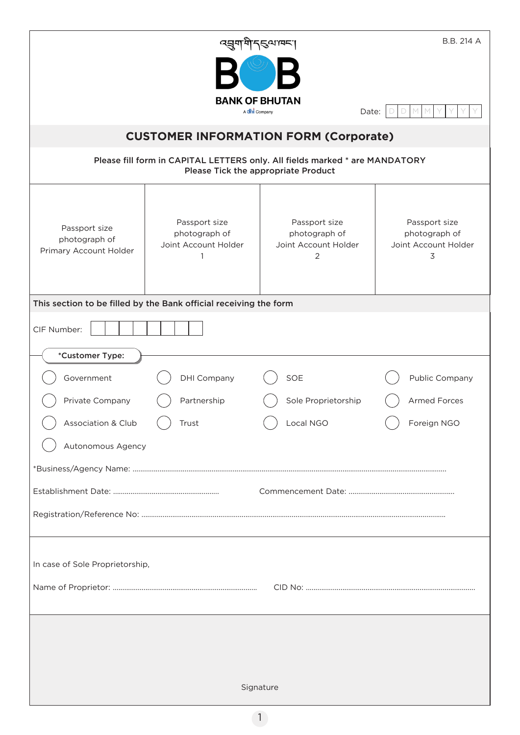|                                                                                                                    | ব্ৰুমাণী ব্ৰিনাদ্ৰৰ l                                  |                                                             | B.B. 214 A                                                  |  |  |
|--------------------------------------------------------------------------------------------------------------------|--------------------------------------------------------|-------------------------------------------------------------|-------------------------------------------------------------|--|--|
|                                                                                                                    |                                                        |                                                             |                                                             |  |  |
|                                                                                                                    | <b>BANK OF BHUTAN</b><br>A chi Company                 | Date:                                                       |                                                             |  |  |
| <b>CUSTOMER INFORMATION FORM (Corporate)</b>                                                                       |                                                        |                                                             |                                                             |  |  |
| Please fill form in CAPITAL LETTERS only. All fields marked * are MANDATORY<br>Please Tick the appropriate Product |                                                        |                                                             |                                                             |  |  |
| Passport size<br>photograph of<br>Primary Account Holder                                                           | Passport size<br>photograph of<br>Joint Account Holder | Passport size<br>photograph of<br>Joint Account Holder<br>2 | Passport size<br>photograph of<br>Joint Account Holder<br>3 |  |  |
| This section to be filled by the Bank official receiving the form                                                  |                                                        |                                                             |                                                             |  |  |
| CIF Number:                                                                                                        |                                                        |                                                             |                                                             |  |  |
| *Customer Type:                                                                                                    |                                                        |                                                             |                                                             |  |  |
| Government                                                                                                         | <b>DHI Company</b>                                     | SOE                                                         | Public Company                                              |  |  |
| Private Company                                                                                                    | Partnership                                            | Sole Proprietorship                                         | <b>Armed Forces</b>                                         |  |  |
| Association & Club                                                                                                 | Trust                                                  | Local NGO                                                   | Foreign NGO                                                 |  |  |
| Autonomous Agency                                                                                                  |                                                        |                                                             |                                                             |  |  |
|                                                                                                                    |                                                        |                                                             |                                                             |  |  |
|                                                                                                                    |                                                        |                                                             |                                                             |  |  |
|                                                                                                                    |                                                        |                                                             |                                                             |  |  |
| In case of Sole Proprietorship,                                                                                    |                                                        |                                                             |                                                             |  |  |
|                                                                                                                    |                                                        |                                                             |                                                             |  |  |
|                                                                                                                    |                                                        |                                                             |                                                             |  |  |
|                                                                                                                    |                                                        |                                                             |                                                             |  |  |
|                                                                                                                    |                                                        |                                                             |                                                             |  |  |
| Signature                                                                                                          |                                                        |                                                             |                                                             |  |  |
|                                                                                                                    | $\mathbf{1}$                                           |                                                             |                                                             |  |  |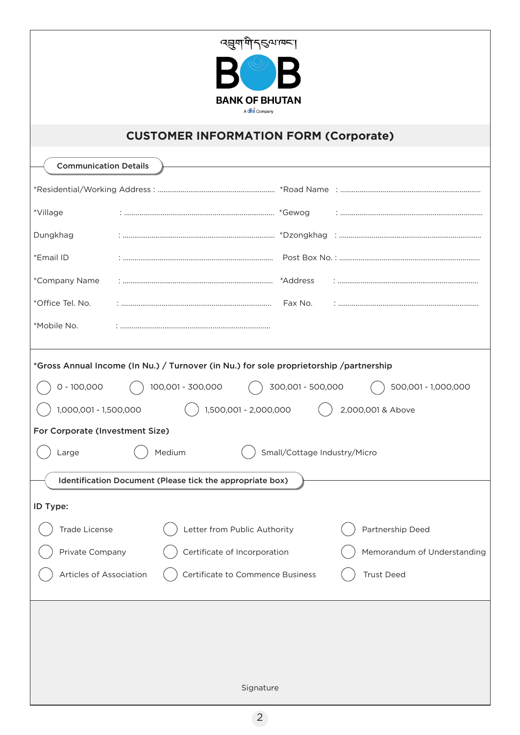| त्सुगमें नुष्यावन्<br><b>BANK OF BHUTAN</b><br>A chi Company                                                                                                                                                                                                                                                                                                                                       |  |  |  |  |  |
|----------------------------------------------------------------------------------------------------------------------------------------------------------------------------------------------------------------------------------------------------------------------------------------------------------------------------------------------------------------------------------------------------|--|--|--|--|--|
| <b>CUSTOMER INFORMATION FORM (Corporate)</b>                                                                                                                                                                                                                                                                                                                                                       |  |  |  |  |  |
| <b>Communication Details</b>                                                                                                                                                                                                                                                                                                                                                                       |  |  |  |  |  |
|                                                                                                                                                                                                                                                                                                                                                                                                    |  |  |  |  |  |
| *Village                                                                                                                                                                                                                                                                                                                                                                                           |  |  |  |  |  |
| Dungkhag                                                                                                                                                                                                                                                                                                                                                                                           |  |  |  |  |  |
| *Email ID                                                                                                                                                                                                                                                                                                                                                                                          |  |  |  |  |  |
| *Company Name<br>*Address                                                                                                                                                                                                                                                                                                                                                                          |  |  |  |  |  |
| *Office Tel. No.<br>Fax No.                                                                                                                                                                                                                                                                                                                                                                        |  |  |  |  |  |
| *Mobile No.                                                                                                                                                                                                                                                                                                                                                                                        |  |  |  |  |  |
| *Gross Annual Income (In Nu.) / Turnover (in Nu.) for sole proprietorship /partnership<br>100,001 - 300,000<br>300,001 - 500,000<br>$0 - 100,000$<br>500,001 - 1,000,000<br>1,000,001 - 1,500,000<br>1,500,001 - 2,000,000<br>2,000,001 & Above<br>For Corporate (Investment Size)<br>Medium<br>Small/Cottage Industry/Micro<br>Large<br>Identification Document (Please tick the appropriate box) |  |  |  |  |  |
| ID Type:                                                                                                                                                                                                                                                                                                                                                                                           |  |  |  |  |  |
| <b>Trade License</b><br>Letter from Public Authority<br>Partnership Deed                                                                                                                                                                                                                                                                                                                           |  |  |  |  |  |
| Private Company<br>Certificate of Incorporation<br>Memorandum of Understanding                                                                                                                                                                                                                                                                                                                     |  |  |  |  |  |
| Certificate to Commence Business<br><b>Trust Deed</b><br>Articles of Association                                                                                                                                                                                                                                                                                                                   |  |  |  |  |  |
| Signature                                                                                                                                                                                                                                                                                                                                                                                          |  |  |  |  |  |
| $\overline{2}$                                                                                                                                                                                                                                                                                                                                                                                     |  |  |  |  |  |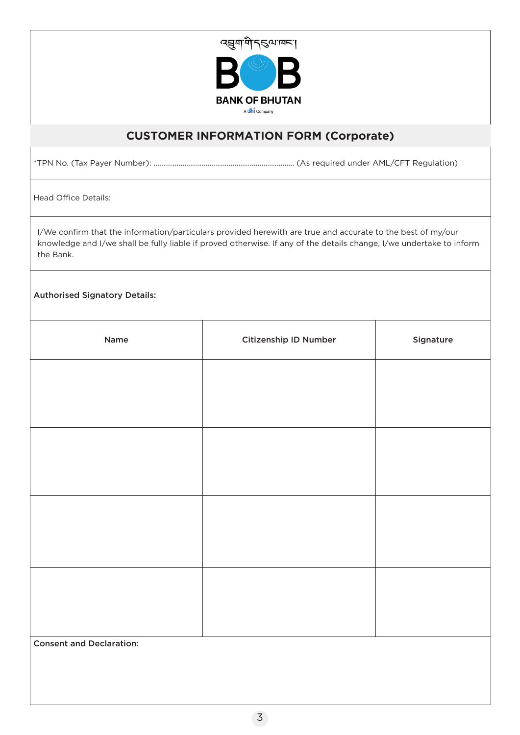

## **CUSTOMER INFORMATION FORM (Corporate)**

\*TPN No. (Tax Payer Number): ......................................................................... (As required under AML/CFT Regulation)

Head Office Details:

I/We confirm that the information/particulars provided herewith are true and accurate to the best of my/our knowledge and I/we shall be fully liable if proved otherwise. If any of the details change, I/we undertake to inform the Bank.

## Authorised Signatory Details:

| Name                            | Citizenship ID Number | Signature |  |  |
|---------------------------------|-----------------------|-----------|--|--|
|                                 |                       |           |  |  |
|                                 |                       |           |  |  |
|                                 |                       |           |  |  |
|                                 |                       |           |  |  |
|                                 |                       |           |  |  |
|                                 |                       |           |  |  |
|                                 |                       |           |  |  |
|                                 |                       |           |  |  |
| <b>Consent and Declaration:</b> |                       |           |  |  |
|                                 |                       |           |  |  |